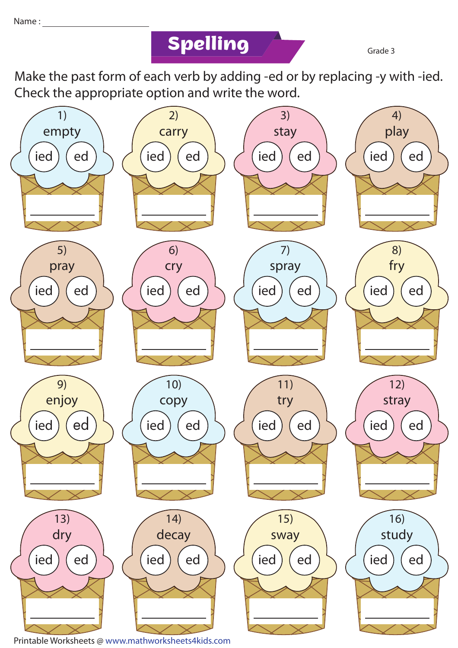## **Spelling Grade 3**

Make the past form of each verb by adding -ed or by replacing -y with -ied. Check the appropriate option and write the word.



Printable Worksheets @ www.mathworksheets4kids.com